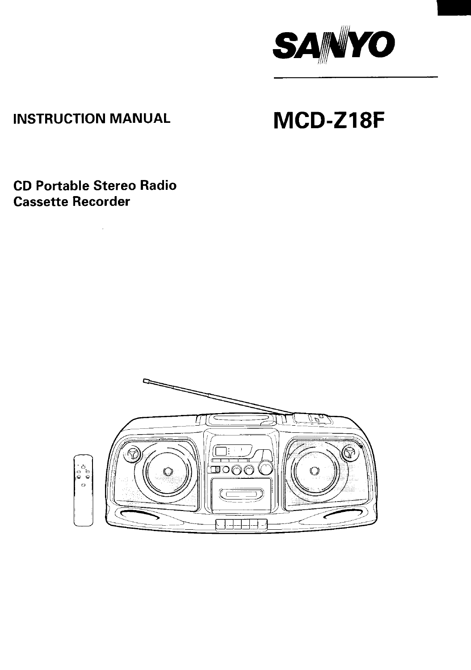

## **INSTRUCTION MANUAL**

# MCD-Z18F

**CD Portable Stereo Radio Cassette Recorder**

 $\sim 10^{-1}$ 

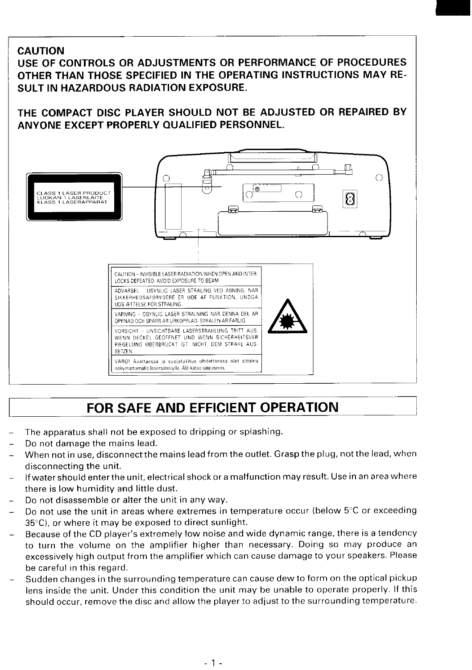### **CAUTION**

USE OF CONTROLS OR ADJUSTMENTS OR PERFORMANCE OF PROCEDURES OTHER THAN THOSE SPECIFIED IN THE OPERATING INSTRUCTIONS MAY RE-SULT IN HAZARDOUS RADIATION EXPOSURE.

THE COMPACT DISC PLAYER SHOULD NOT BE ADJUSTED OR REPAIRED BY ANYONE EXCEPT PROPERLY QUALIFIED PERSONNEL.



## **FOR SAFE AND EFFICIENT OPERATION**

- **The apparatus shall not be exposed to dripping or splashing.**
- **Do not damage the mains lead.**

**I**

- **When not in use, disconnectthe mains Ieadfrom the outlet. Grasp the plug, not the lead, when disconnecting the unit.**
- **If water should enter theunit, electrical shock ora malfunction may result. Use in an area where there is low humidity and little dust.**
- **Do not disassemble or alter the unit in any way.**
- **Do not use the unit in areas where extremes in temperature occur (below 5'C or exceeding 350 C), or where it may be exposed to direct sunlight.**
- **Because of the CD player's extremely low noise and wide dynamic range, there is a tendency to turn the volume on the amplifier higher than necessary. Doing so may produce an excessively high output from the amplifier which can cause damage to your speakers. Please be careful in this regard.**
- $\overline{a}$ **Sudden changes in the surrounding temperature can cause dew to form on the optical pickup lens inside the unit. Under this condition the unit may be unable to operate properly. If this should occur, remove the disc and allow the player to adjust to the surrounding temperature.**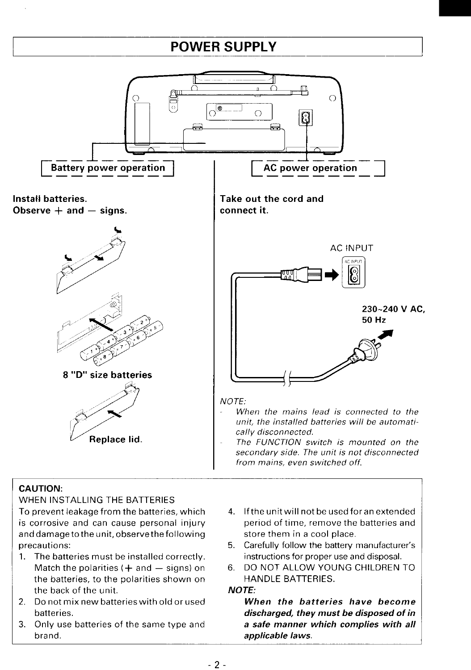## **POWER SUPPLY**



#### **CAUTION:**

#### **WHEN INSTALLING THE BATTERIES**

**To prevent leakage from the batteries, which 4. If the unitwill not be used for an extended is corrosive and can cause personal injury period of time, remove the batteries and anddamageto theunit, observe the following store them in a cool place. precautions: 5. Carefully follow the battery manufacturer's**

- **the batteries, to the polarities shown on HANDLE BATTERIES. the back of the unit.** *NOTE:*
- *2.* **Do not mix new batteries with oldorused** *When the batteries have become*
- *3.* **Only use batteries of the same type and** *a safe manner which complies with all* **brand.** *applicable laWS.*
- 
- **1. The batteries must be installed correctly. instructions for proper use and disposal.**
	- **Match the polarities (+ and – signs) on 6. DO NOT ALLOW YOUNG CHILDREN TO**

**batteries.** *discharged, they must be dkposed of in*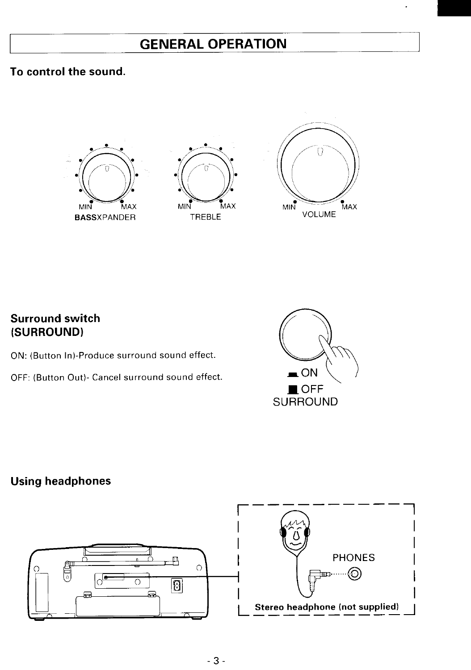## **GENERAL OPERATION**

## **To control the sound.**







### **Surround switch (SURROUND)**

**ON: (Button In)-Produce surround sound effect.**

**OFF: (Button Out)- Cancel surround sound effect.**



### **Using headphones**

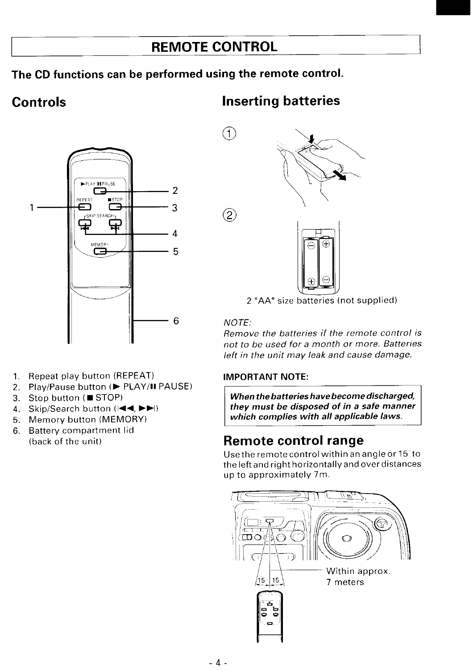## **REMOTE CONTROL**

### **The CD functions can be performed using the remote control.**

## **Controls**

## **Inserting batteries**



- 1. **Repeat play button (REPEAT)**
- *2.* **Play/Pause button (P PLAY/11 PAUSE)**
- *3.* **Stop button ( STOP)**
- *4,* **Skip/Search button** (144, FFl)
- *5,* **Memory button (MEMORY)**
- *6.* **Battery compartment lid (back of the unit)**



**2 "AA" size batteries (not supplied)**

#### **NOTE:**

 $(2)$ 

Œ

**Remove the batteries if the remote control is not to be used for a month or more. Batteries /eft in the unit may /eak and cause damage**

#### **IMPORTANT NOTE:**

*When thebatterieshavebecome discharged, they must be disposed of in a safe manner which complies with all applicable laws.*

## **Remote control range**

**Use the remote control within an angle or 15 to theleftand right horizontal lyand over distances up to approximately 7m.**

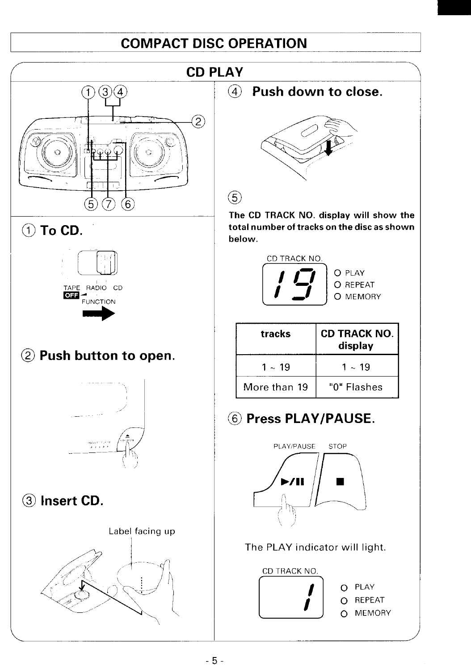## **COMPACT DISC OPERATION**





## @ **Push button to open.**



@) **Insert CD.**





134 @ **Push down to close.**



The CD TRACK NO. display will show the @) **To CD.** total number of tracks on the disc as shown below,



| tracks       | <b>CD TRACK NO.  </b><br>display |
|--------------|----------------------------------|
| 1 ~ 19       | $1 \sim 19$                      |
| More than 19 | "0" Flashes                      |

(@ **Press PLAY/PAUSE.**



### The PLAY indicator will light.

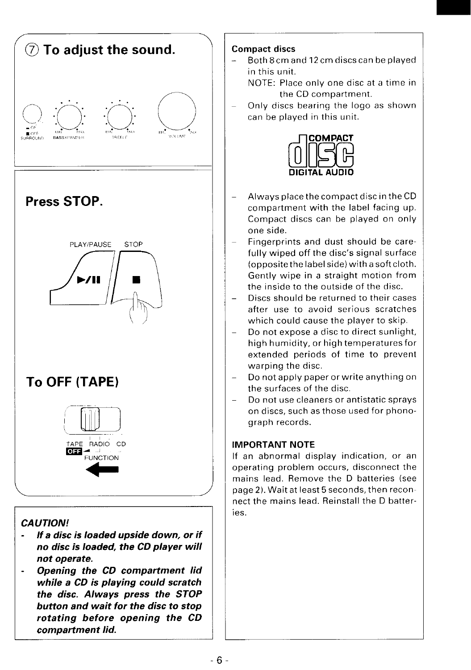

*while* a *CD is playing could scratch the disc. Always press the STOP button and wait for the disc to stop rotating before opening the CD compartment lid.*

#### Compact discs

- **Both 8cmand 12cmdiscscan be played in this unit.**
	- **NOTE: Place only one disc at a time in the CD compartment.**
- **Only discs bearing the logo as shown can be played in this unit.**



- **Always place the compact disc inthe CD compartment with the label facing up. Compact discs can be played on only one side.**
- **Fingerprints and dust should be carefully wiped off the disc's signal surface (opposite thelabel side) with a soft cloth, Gently wipe in a straight motion from the inside to the outside of the disc.**
- **– Discs should be returned to their cases after use to avoid serious scratches which could cause the player to skip.**
- **— Do not expose a disc to direct sunlight, high humid ity, orhigh temperatures for extended periods of time to prevent warping the disc.**
- **- Do not apply paper or write anything on the surfaces of the disc.**
- **— Do not use cleaners or antistatic sprays on discs, such as those used for phonograph records.**

#### **IMPORTANT NOTE**

**If an abnormal display indication, or an operating problem occurs, disconnect the mains lead, Remove the D batteries (see page 2). Wait at least 5seconds, then reconnect the mains lead. Reinstall the D batteries.**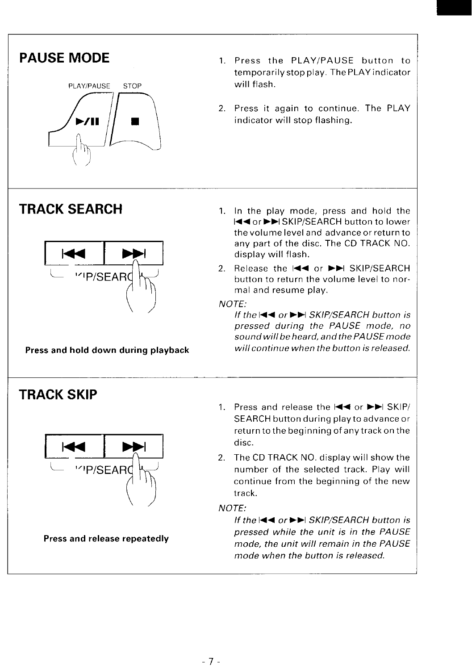

- **PAUSE MODE** 1. **Press the PLAY/PAUSE button to tempo rarilystop play. The PLAYindicator**
	- **2. Press it again to continue. The PLAY**  $indicateor will stop flashina.$



## **TRACK SKIP**



- **TRACK SEARCH 1. In the play mode, press and hold the l<< or>>l SKIP/SEARCH button to lower the volume level and advance or return to any part of the disc, The CD TRACK NO. display will flash.**
	- **2. Release the 144 or F-I SKIP/SEARCH button to return the volume level to normal and resume play.**

**NOTE:**

*If the* $\blacktriangleleft$  **<b>4** or  $\blacktriangleright$   $\blacktriangleright$  *SKIP/SEARCH* button is **pressed during the PAUSE mode, no sound will beheard, andthe PA USEmode Press and hold down during playback** will continue when the button is released.

- 1. **Press and release the l<< or** ➤ **>1 SKIP/ SEARCH button during playtoadvanceor return to the beginning of anytrack on the**
- **2. The CD TRACK NO. display will show the**  $\frac{1}{10}$  **<b>CO I I** *number* of the selected track. Play will **continue from the beginning of the new track.**

**NOTE:**

*lf* **the**  $\blacktriangleleft$  **←** *or* **►■** *SKIP/SEARCH**button**is* **pressed while the unit is in the PAUSE mode, the unit will remain in the PAUSE mode when the button is released.**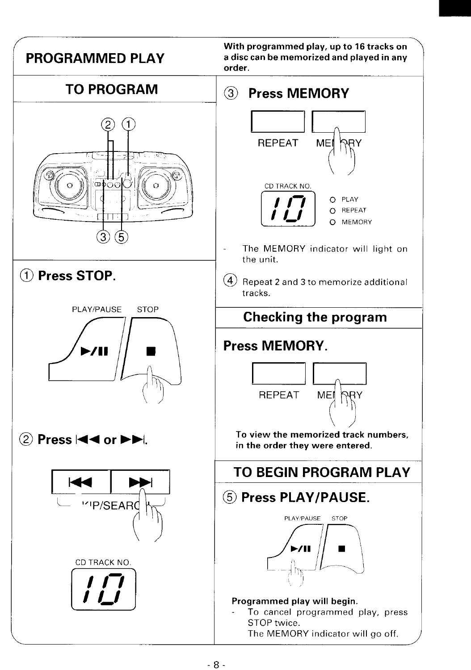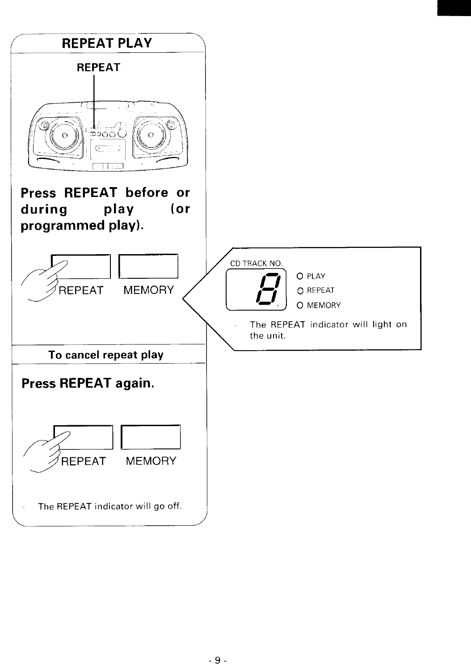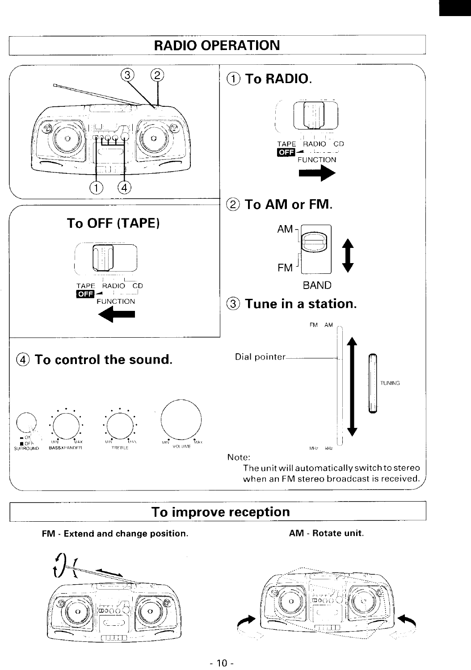

## **To improve reception**

FM - Extend and change position. AM - Rotate unit.

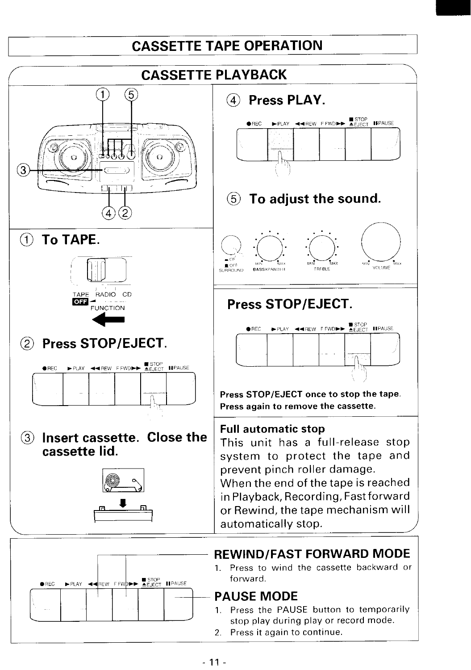## **CASSETTE TAPE OPERATION**

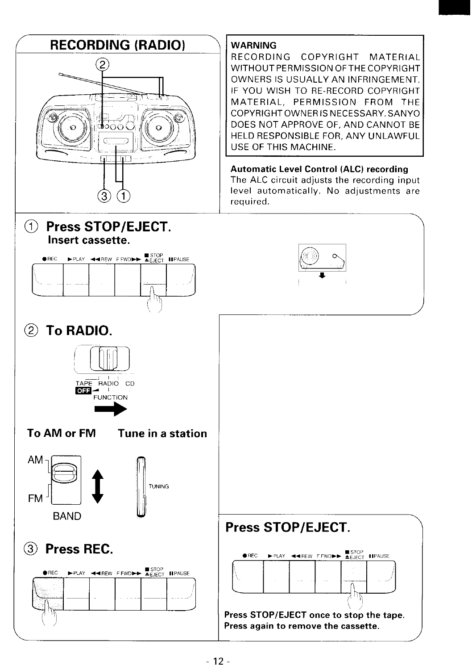## **RECORDING (RADIO) '**

.



### WARNING

**RECORDING COPYRIGHT MATERIAL WITHOUT PERMISSION OF THE COPYRIGHT OWNERS IS USUALLY AN INFRINGEMENT. IF YOU WISH TO RE-RECORD COPYRIGHT MATERIAL, PERMISSION FROM THE COPYRIGHT OWNER IS NECESSARY. SANYO DOES NOT APPROVE OF, AND CANNOT BE HELD RESPONSIBLE FOR, ANY UNLAWFUL USE OF THIS MACHINE.**

Automatic Level Control (ALC) recording **The ALC circuit adjusts the recording input level automatically. No adjustments are required.**

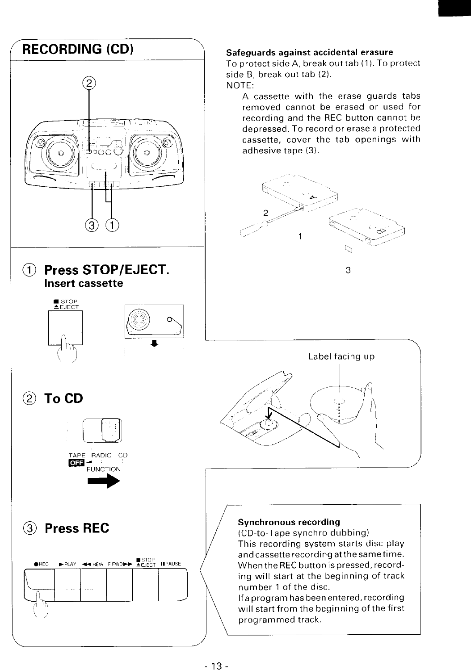

#### Safeguards against accidental erasure

**To protect side A, break out tab (l). To protect side B, break out tab (2). NOTE:**

**A cassette with the erase guards tabs removed cannot be erased or used for recording and the REC button cannot be depressed. To record or erase a protected cassette, cover the tab openings with adhesive tape (3)**





#### Synchronous recording

**(CD-to-Tape synchro dubbing) This recording system starts disc play andcassette record ingatthesametime. When the REC button is pressed, recording will start at the beginning of track number 1 of the disc.**

**Ifaprogram has been entered, recording will start from the begin ningofthe first programmed track.**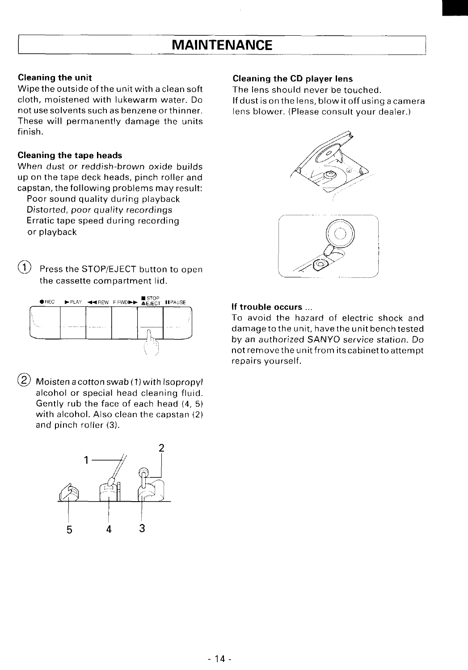## **MAINTENANCE**

**Wipe** the outside of the unit with a clean soft The lens should never be touched.<br> **Cloth**, moistened with lukewarm water. Do If dust is on the lens, blow it off using **These will permanently damage the units finish.**

#### Cleaning the tape heads

**When dust or reddish-brown oxide builds up on the tape deck heads, pinch roller and capstan, the following problems may result:**

**Poor sound quality during playback Distorted, poor quality recordings Erratic tape speed during recording or playback**

**@ Press the STC)P/E.iECT button to open the cassette compartment lid,**



**@ Moistenacottonswab( l)withlsopropyl alcohol or special head cleaning fluid. Gently rub the face of each head (4, 5) with alcohol. Also clean the capstan (2) and pinch roller (3).**



#### Cleaning the unit Cleaning the CD player lens

**cloth, moistened with lukewarm water. Do Ifdustis onthelens, blow itoffusing acamera lens** blower. (Please consult your dealer.)



#### If trouble occurs ,.,

**To avoid the hazard of electric shock and damage to the unit, have the unit bench tested bv an authorized SANYO service station. Do notremovethe unit from itscabinet to attempt repairs yourself,**